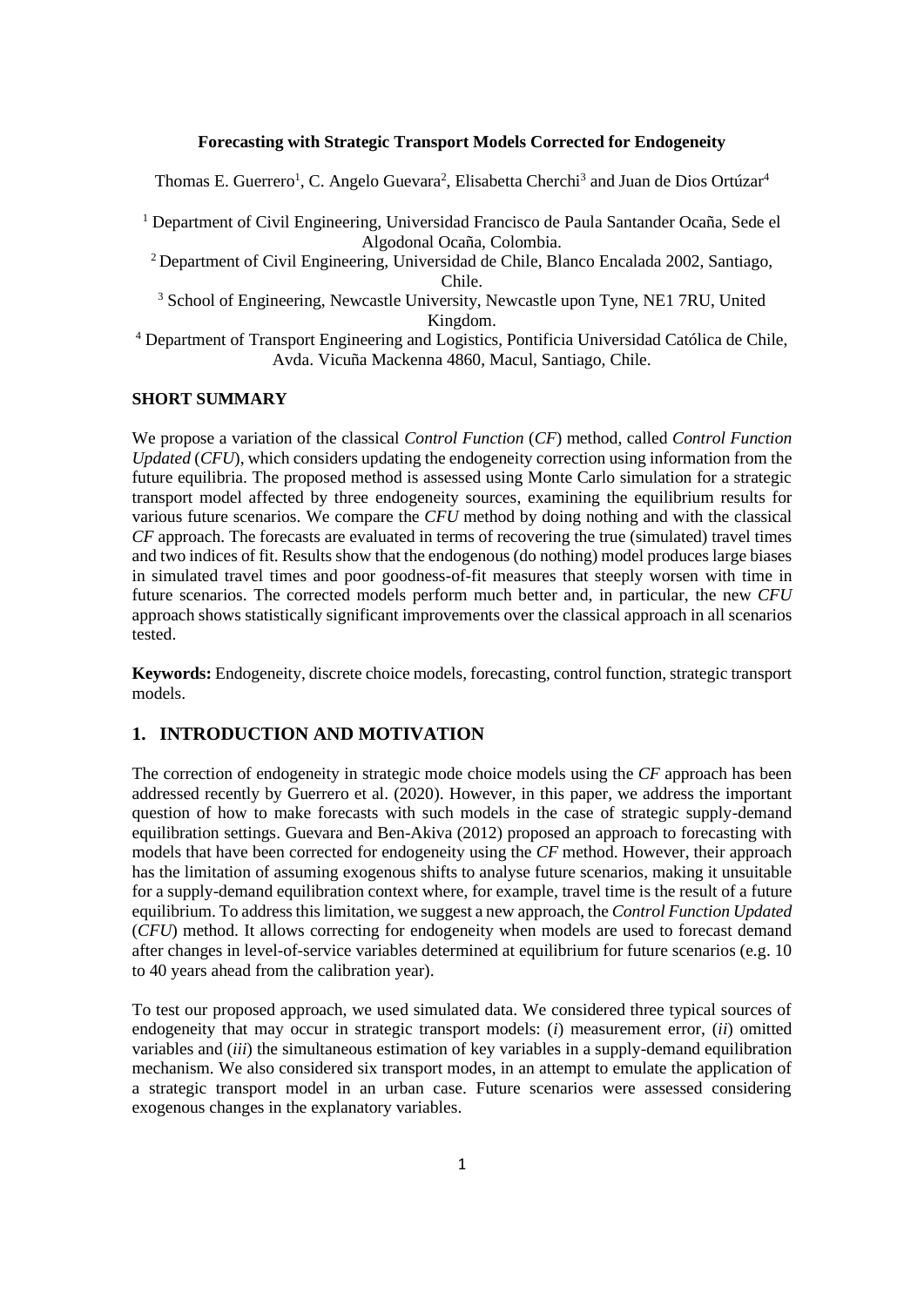### **Forecasting with Strategic Transport Models Corrected for Endogeneity**

Thomas E. Guerrero<sup>1</sup>, C. Angelo Guevara<sup>2</sup>, Elisabetta Cherchi<sup>3</sup> and Juan de Dios Ortúzar<sup>4</sup>

<sup>1</sup> Department of Civil Engineering, Universidad Francisco de Paula Santander Ocaña, Sede el Algodonal Ocaña, Colombia.

<sup>2</sup> Department of Civil Engineering, Universidad de Chile, Blanco Encalada 2002, Santiago, Chile.

<sup>3</sup> School of Engineering, Newcastle University, Newcastle upon Tyne, NE1 7RU, United Kingdom.

<sup>4</sup> Department of Transport Engineering and Logistics, Pontificia Universidad Católica de Chile, Avda. Vicuña Mackenna 4860, Macul, Santiago, Chile.

## **SHORT SUMMARY**

We propose a variation of the classical *Control Function* (*CF*) method, called *Control Function Updated* (*CFU*), which considers updating the endogeneity correction using information from the future equilibria. The proposed method is assessed using Monte Carlo simulation for a strategic transport model affected by three endogeneity sources, examining the equilibrium results for various future scenarios. We compare the *CFU* method by doing nothing and with the classical *CF* approach. The forecasts are evaluated in terms of recovering the true (simulated) travel times and two indices of fit. Results show that the endogenous (do nothing) model produces large biases in simulated travel times and poor goodness-of-fit measures that steeply worsen with time in future scenarios. The corrected models perform much better and, in particular, the new *CFU* approach shows statistically significant improvements over the classical approach in all scenarios tested.

**Keywords:** Endogeneity, discrete choice models, forecasting, control function, strategic transport models.

# **1. INTRODUCTION AND MOTIVATION**

The correction of endogeneity in strategic mode choice models using the *CF* approach has been addressed recently by Guerrero et al. (2020). However, in this paper, we address the important question of how to make forecasts with such models in the case of strategic supply-demand equilibration settings. Guevara and Ben-Akiva (2012) proposed an approach to forecasting with models that have been corrected for endogeneity using the *CF* method. However, their approach has the limitation of assuming exogenous shifts to analyse future scenarios, making it unsuitable for a supply-demand equilibration context where, for example, travel time is the result of a future equilibrium. To address this limitation, we suggest a new approach, the *Control Function Updated* (*CFU*) method. It allows correcting for endogeneity when models are used to forecast demand after changes in level-of-service variables determined at equilibrium for future scenarios (e.g. 10 to 40 years ahead from the calibration year).

To test our proposed approach, we used simulated data. We considered three typical sources of endogeneity that may occur in strategic transport models: (*i*) measurement error, (*ii*) omitted variables and (*iii*) the simultaneous estimation of key variables in a supply-demand equilibration mechanism. We also considered six transport modes, in an attempt to emulate the application of a strategic transport model in an urban case. Future scenarios were assessed considering exogenous changes in the explanatory variables.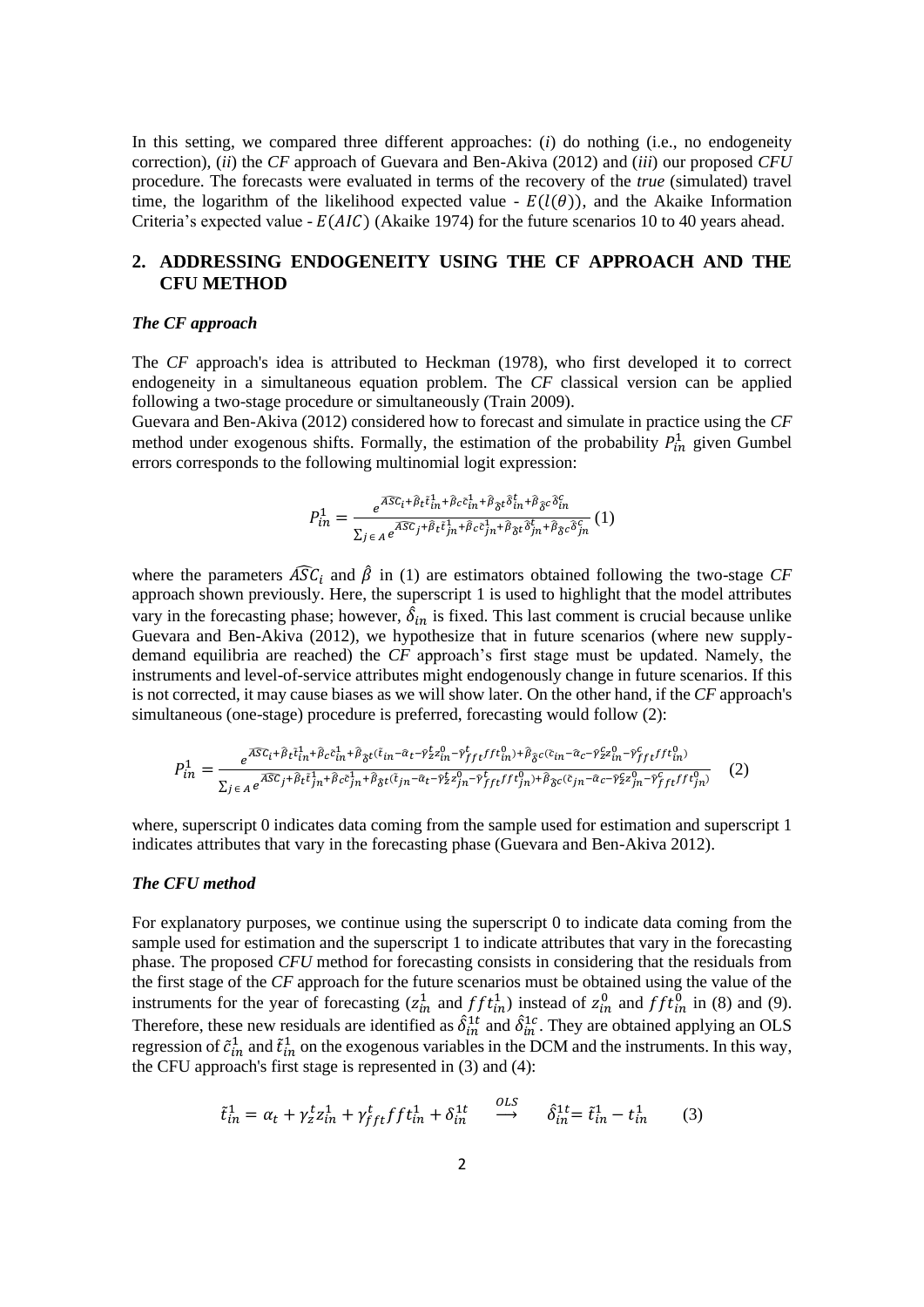In this setting, we compared three different approaches: (*i*) do nothing (i.e., no endogeneity correction), (*ii*) the *CF* approach of Guevara and Ben-Akiva (2012) and (*iii*) our proposed *CFU* procedure. The forecasts were evaluated in terms of the recovery of the *true* (simulated) travel time, the logarithm of the likelihood expected value -  $E(l(\theta))$ , and the Akaike Information Criteria's expected value -  $E(AIC)$  (Akaike 1974) for the future scenarios 10 to 40 years ahead.

# **2. ADDRESSING ENDOGENEITY USING THE CF APPROACH AND THE CFU METHOD**

### *The CF approach*

The *CF* approach's idea is attributed to Heckman (1978), who first developed it to correct endogeneity in a simultaneous equation problem. The *CF* classical version can be applied following a two-stage procedure or simultaneously (Train 2009).

Guevara and Ben-Akiva (2012) considered how to forecast and simulate in practice using the *CF* method under exogenous shifts. Formally, the estimation of the probability  $P_{in}^1$  given Gumbel errors corresponds to the following multinomial logit expression:

$$
P_{in}^{1} = \frac{e^{\overline{ASC}_{i} + \hat{\beta}_{t}\tilde{t}_{in}^{1} + \hat{\beta}_{c}\tilde{c}_{in}^{1} + \hat{\beta}_{\tilde{\delta}}t\tilde{\delta}_{in}^{t} + \hat{\beta}_{\tilde{\delta}}c\tilde{\delta}_{in}^{c}}}{\sum_{j \in A} e^{\overline{ASC}_{j} + \hat{\beta}_{t}\tilde{t}_{jn}^{1} + \hat{\beta}_{c}\tilde{c}_{jn}^{1} + \hat{\beta}_{\tilde{\delta}}t\tilde{\delta}_{jn}^{t} + \hat{\beta}_{\tilde{\delta}}c\tilde{\delta}_{jn}^{c}}}(1)
$$

where the parameters  $\widehat{ASC}_i$  and  $\widehat{\beta}$  in (1) are estimators obtained following the two-stage CF approach shown previously. Here, the superscript 1 is used to highlight that the model attributes vary in the forecasting phase; however,  $\hat{\delta}_{in}$  is fixed. This last comment is crucial because unlike Guevara and Ben-Akiva (2012), we hypothesize that in future scenarios (where new supplydemand equilibria are reached) the *CF* approach's first stage must be updated. Namely, the instruments and level-of-service attributes might endogenously change in future scenarios. If this is not corrected, it may cause biases as we will show later. On the other hand, if the *CF* approach's simultaneous (one-stage) procedure is preferred, forecasting would follow (2):

$$
P_{in}^1 = \frac{e^{\widehat{ASC}_t + \widehat{\beta}_t \tilde{t}_{in}^1 + \widehat{\beta}_c \tilde{c}_{in}^1 + \widehat{\beta}_{\tilde{\delta}} \tilde{t}(\tilde{t}_{in} - \widehat{\alpha}_t - \widehat{\gamma}_z^t \widehat{z}_{in}^n - \widehat{\gamma}_{fft}^t fft_{in}^0) + \widehat{\beta}_{\tilde{\delta}} c(\tilde{c}_{in} - \widehat{\alpha}_c - \widehat{\gamma}_z^t \widehat{z}_{in}^0 - \widehat{\gamma}_{fft}^t fft_{in}^0)}}{\sum_{j \in A} e^{\widehat{ASC}_j + \widehat{\beta}_t \tilde{t}_{in}^1 + \widehat{\beta}_c \tilde{c}_{in}^1 + \widehat{\beta}_{\tilde{\delta}} \tilde{t}(\tilde{t}_{in} - \widehat{\alpha}_t - \widehat{\gamma}_z^t \widehat{z}_{in}^0 - \widehat{\gamma}_{fft}^t fft_{in}^0) + \widehat{\beta}_{\tilde{\delta}} c(\tilde{c}_{in} - \widehat{\alpha}_c - \widehat{\gamma}_z^t \widehat{z}_{in}^0 - \widehat{\gamma}_{fft}^c fft_{in}^0)}\tag{2}
$$

where, superscript 0 indicates data coming from the sample used for estimation and superscript 1 indicates attributes that vary in the forecasting phase (Guevara and Ben-Akiva 2012).

#### *The CFU method*

For explanatory purposes, we continue using the superscript 0 to indicate data coming from the sample used for estimation and the superscript 1 to indicate attributes that vary in the forecasting phase. The proposed *CFU* method for forecasting consists in considering that the residuals from the first stage of the *CF* approach for the future scenarios must be obtained using the value of the instruments for the year of forecasting  $(z_{in}^1$  and  $fft_{in}^1)$  instead of  $z_{in}^0$  and  $fft_{in}^0$  in (8) and (9). Therefore, these new residuals are identified as  $\hat{\delta}_{in}^{1t}$  and  $\hat{\delta}_{in}^{1c}$ . They are obtained applying an OLS regression of  $\tilde{c}_{in}^1$  and  $\tilde{t}_{in}^1$  on the exogenous variables in the DCM and the instruments. In this way, the CFU approach's first stage is represented in (3) and (4):

$$
\tilde{t}_{in}^1 = \alpha_t + \gamma_z^t z_{in}^1 + \gamma_{fft}^t f f t_{in}^1 + \delta_{in}^{1t} \quad \stackrel{OLS}{\longrightarrow} \quad \hat{\delta}_{in}^{1t} = \tilde{t}_{in}^1 - t_{in}^1 \tag{3}
$$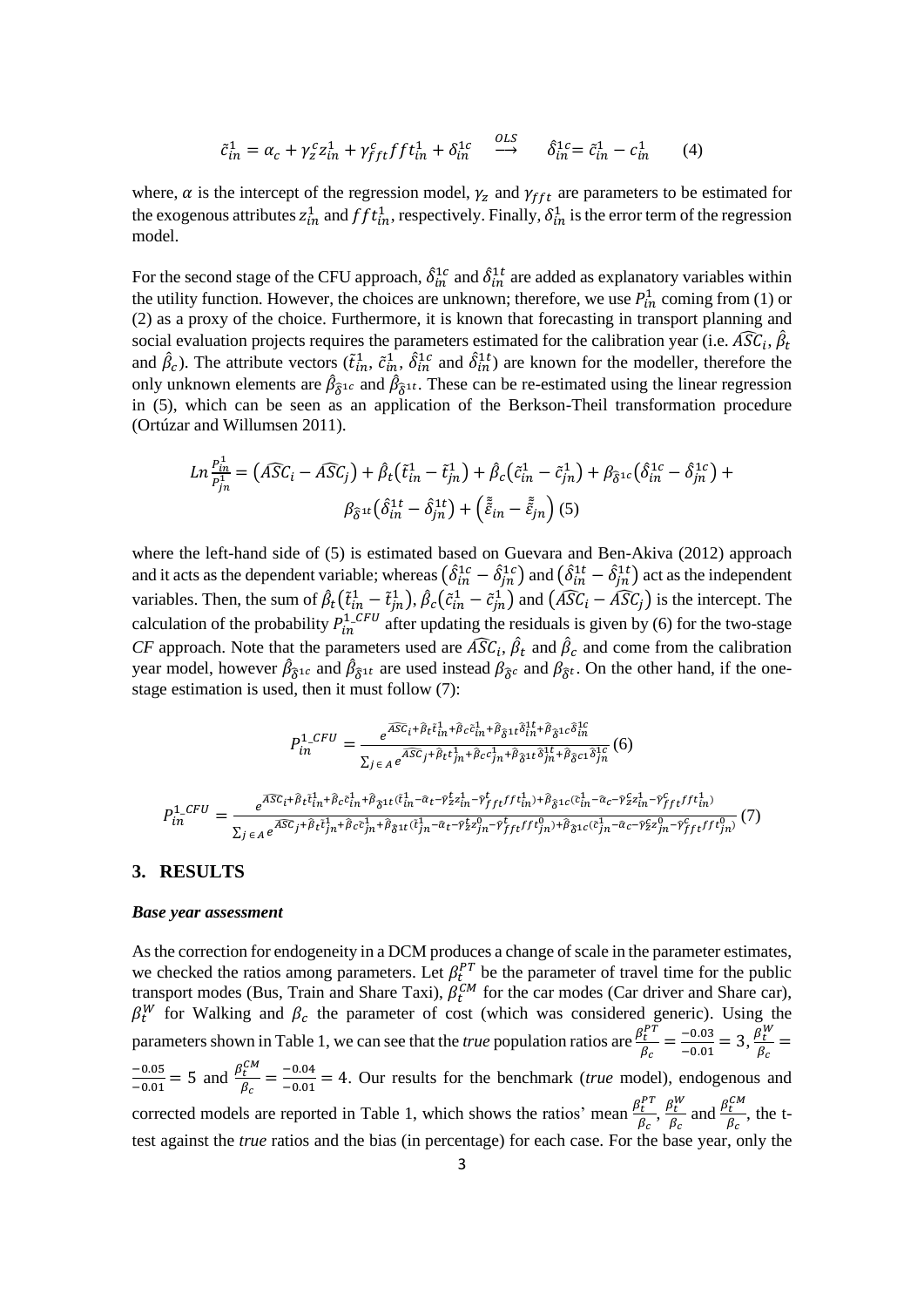$$
\tilde{c}_{in}^1 = \alpha_c + \gamma_z^c z_{in}^1 + \gamma_{fft}^c f f t_{in}^1 + \delta_{in}^{1c} \xrightarrow{OLS} \hat{\delta}_{in}^{1c} = \tilde{c}_{in}^1 - c_{in}^1 \tag{4}
$$

where,  $\alpha$  is the intercept of the regression model,  $\gamma_z$  and  $\gamma_{fft}$  are parameters to be estimated for the exogenous attributes  $z_{in}^1$  and  $fft_{in}^1$ , respectively. Finally,  $\delta_{in}^1$  is the error term of the regression model.

For the second stage of the CFU approach,  $\hat{\delta}_{in}^{1c}$  and  $\hat{\delta}_{in}^{1t}$  are added as explanatory variables within the utility function. However, the choices are unknown; therefore, we use  $P_{in}^1$  coming from (1) or (2) as a proxy of the choice. Furthermore, it is known that forecasting in transport planning and social evaluation projects requires the parameters estimated for the calibration year (i.e.  $\widehat{ASC}_i$ ,  $\widehat{\beta}_t$ and  $\hat{\beta}_c$ ). The attribute vectors  $(\tilde{t}_{in}^1, \tilde{c}_{in}^1, \hat{\delta}_{in}^{1c}$  and  $\hat{\delta}_{in}^{1t}$ ) are known for the modeller, therefore the only unknown elements are  $\hat{\beta}_{\hat{\delta}^{1c}}$  and  $\hat{\beta}_{\hat{\delta}^{1t}}$ . These can be re-estimated using the linear regression in (5), which can be seen as an application of the Berkson-Theil transformation procedure (Ortúzar and Willumsen 2011).

$$
Ln \frac{P_{in}^1}{P_{jn}^1} = \left(\widehat{ASC}_i - \widehat{ASC}_j\right) + \widehat{\beta}_t \left(\tilde{t}_{in}^1 - \tilde{t}_{jn}^1\right) + \widehat{\beta}_c \left(\tilde{c}_{in}^1 - \tilde{c}_{jn}^1\right) + \beta_{\widehat{\delta}^{1c}} \left(\delta_{in}^{1c} - \delta_{jn}^{1c}\right) + \beta_{\widehat{\delta}^{1t}} \left(\delta_{in}^{1t} - \delta_{jn}^{1t}\right) + \left(\tilde{\tilde{\epsilon}}_{in} - \tilde{\tilde{\epsilon}}_{jn}\right)(5)
$$

where the left-hand side of (5) is estimated based on Guevara and Ben-Akiva (2012) approach and it acts as the dependent variable; whereas  $(\hat{\delta}_{in}^{1c} - \hat{\delta}_{in}^{1c})$  and  $(\hat{\delta}_{in}^{1t} - \hat{\delta}_{in}^{1t})$  act as the independent variables. Then, the sum of  $\hat{\beta}_t(\tilde{t}_{in}^1 - \tilde{t}_{in}^1), \hat{\beta}_c(\tilde{c}_{in}^1 - \tilde{c}_{in}^1)$  and  $(\tilde{A}\tilde{S}\tilde{C}_i - \tilde{A}\tilde{S}\tilde{C}_j)$  is the intercept. The calculation of the probability  $P_{in}^{1 \text{ } CFU}$  after updating the residuals is given by (6) for the two-stage *CF* approach. Note that the parameters used are  $\widehat{ASC}_i$ ,  $\widehat{\beta}_t$  and  $\widehat{\beta}_c$  and come from the calibration year model, however  $\hat{\beta}_{\hat{\delta}^{1c}}$  and  $\hat{\beta}_{\hat{\delta}^{1t}}$  are used instead  $\beta_{\hat{\delta}^c}$  and  $\beta_{\hat{\delta}^t}$ . On the other hand, if the onestage estimation is used, then it must follow (7):

$$
P_{in}^{1\_CFU} = \frac{e^{\overline{ASC}_{i} + \hat{\beta}_{t}t_{in}^{1} + \hat{\beta}_{c}\tilde{c}_{in}^{1} + \hat{\beta}_{\tilde{\beta}1t}\tilde{\delta}_{in}^{1t} + \hat{\beta}_{\tilde{\beta}1c}\tilde{\delta}_{in}^{1c}}}{\sum_{j \in A} e^{\overline{ASC}_{j} + \hat{\beta}_{t}t_{in}^{1} + \hat{\beta}_{c}\tilde{c}_{in}^{1} + \hat{\beta}_{\tilde{\beta}1t}\tilde{\delta}_{in}^{1t} + \hat{\beta}_{\tilde{\beta}1c}\tilde{\delta}_{in}^{1c}}}(6)
$$
\n
$$
P_{in}^{1\_CFU} = \frac{e^{\overline{ASC}_{i} + \hat{\beta}_{t}\tilde{t}_{in}^{1} + \hat{\beta}_{c}\tilde{c}_{in}^{1} + \hat{\beta}_{\tilde{\beta}1t}(\tilde{t}_{in}^{1} - \hat{\alpha}_{t} - \hat{\gamma}_{zt}^{t} + \hat{\beta}_{t}fft_{in}^{1}) + \hat{\beta}_{\tilde{\beta}1c}(\tilde{c}_{in}^{1} - \hat{\alpha}_{c} - \hat{\gamma}_{zt}^{c} + \hat{\gamma}_{ft}fft_{in}^{1})}{\sum_{j \in A} e^{\overline{ASC}_{j} + \hat{\beta}_{t}\tilde{t}_{in}^{1} + \hat{\beta}_{c}\tilde{c}_{in}^{1} + \hat{\beta}_{\tilde{\beta}1t}(\tilde{t}_{in}^{1} - \hat{\alpha}_{t} - \hat{\gamma}_{zt}^{t} - \hat{\gamma}_{ft}^{t}fft_{in}^{0}) + \hat{\beta}_{\tilde{\beta}1c}(\tilde{c}_{in}^{1} - \hat{\alpha}_{c} - \hat{\gamma}_{zt}^{c} + \hat{\gamma}_{ft}^{c}fft_{in}^{0})}(7)
$$

## **3. RESULTS**

#### *Base year assessment*

As the correction for endogeneity in a DCM produces a change of scale in the parameter estimates, we checked the ratios among parameters. Let  $\beta_t^{PT}$  be the parameter of travel time for the public transport modes (Bus, Train and Share Taxi),  $\beta_t^{CM}$  for the car modes (Car driver and Share car),  $\beta_t^W$  for Walking and  $\beta_c$  the parameter of cost (which was considered generic). Using the parameters shown in Table 1, we can see that the *true* population ratios are  $\frac{\beta_t^{PT}}{R}$  $\frac{\beta_t^{p_1}}{\beta_c} = \frac{-0.03}{-0.01}$  $\frac{-0.03}{-0.01} = 3, \frac{\beta_t^W}{\beta_c}$  $\frac{\partial_t}{\partial c} =$ −0.05  $\frac{-0.05}{-0.01}$  = 5 and  $\frac{\beta_t^{CM}}{\beta_c}$  $\frac{\partial L}{\partial \rho_c} = \frac{-0.04}{-0.01}$  $\frac{-0.04}{-0.01}$  = 4. Our results for the benchmark (*true* model), endogenous and corrected models are reported in Table 1, which shows the ratios' mean  $\frac{\beta_t^{PT}}{Q}$  $\frac{\beta_t^{PT}}{\beta_c}, \frac{\beta_t^{W}}{\beta_c}$  $\frac{\beta_t^W}{\beta_c}$  and  $\frac{\beta_t^{CM}}{\beta_c}$  $\frac{\partial^2 t}{\partial c}$ , the ttest against the *true* ratios and the bias (in percentage) for each case. For the base year, only the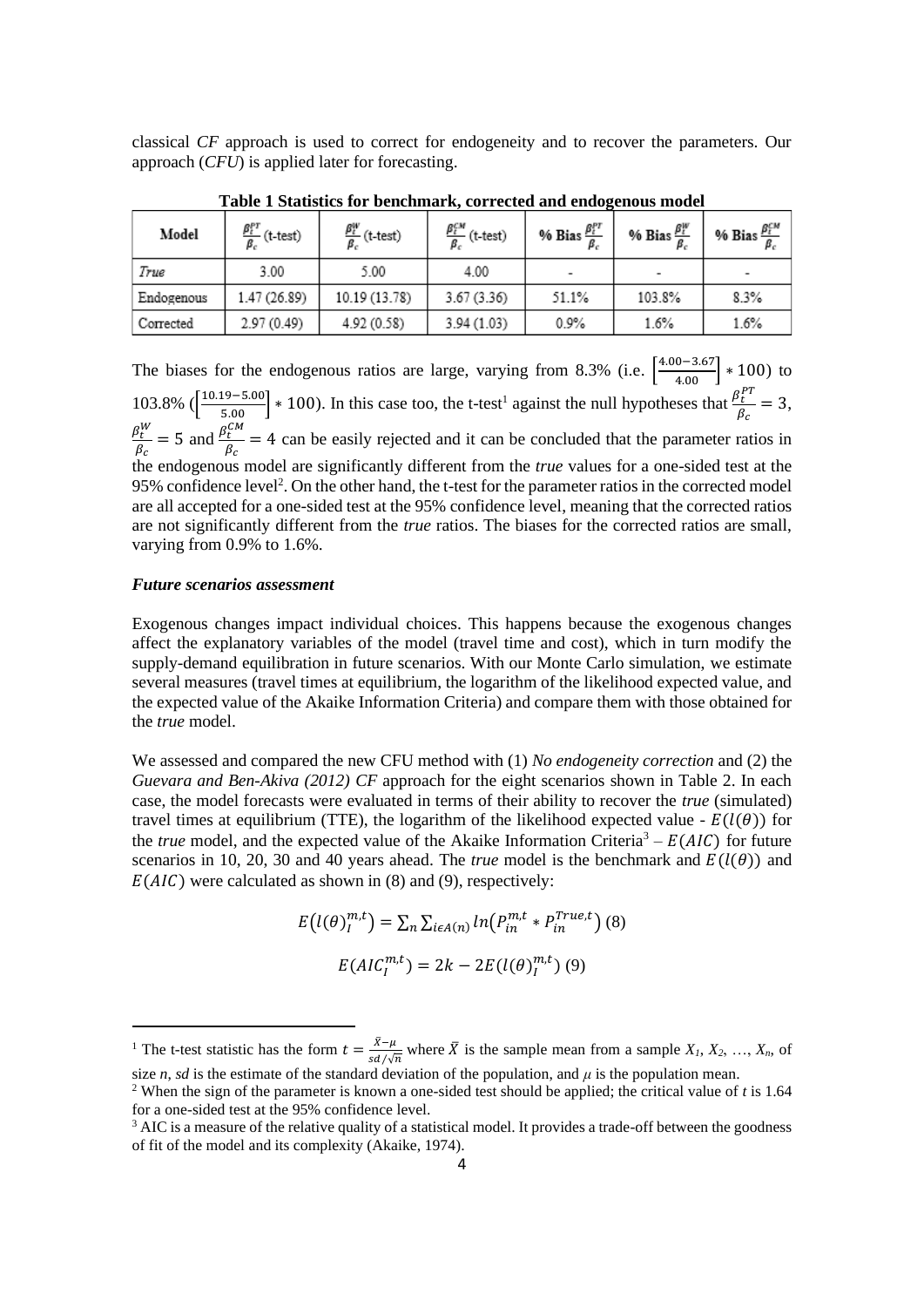classical *CF* approach is used to correct for endogeneity and to recover the parameters. Our approach (*CFU*) is applied later for forecasting.

| таме т маняне тот осненнать согтества ана снабесной нюаст |                                        |                                      |                                         |                                 |                                 |                                 |  |  |  |  |  |  |
|-----------------------------------------------------------|----------------------------------------|--------------------------------------|-----------------------------------------|---------------------------------|---------------------------------|---------------------------------|--|--|--|--|--|--|
| Model                                                     | $\frac{\beta_t^{p_T}}{\beta}$ (t-test) | $\frac{\beta_t^W}{\beta_c}$ (t-test) | $\frac{\beta_t^{CM}}{\beta_c}$ (t-test) | % Bias $\frac{\beta_t^{PT}}{a}$ | % Bias $\frac{\beta_t^W}{\rho}$ | % Bias $\frac{\beta_t^{CN}}{a}$ |  |  |  |  |  |  |
| True                                                      | 3.00                                   | 5.00                                 | 4.00                                    |                                 |                                 |                                 |  |  |  |  |  |  |
| Endogenous                                                | 1.47 (26.89)                           | 10.19 (13.78)                        | 3.67(3.36)                              | 51.1%                           | 103.8%                          | 8.3%                            |  |  |  |  |  |  |
| Corrected                                                 | 2.97 (0.49)                            | 4.92 (0.58)                          | 3.94 (1.03)                             | 0.9%                            | 1.6%                            | 1.6%                            |  |  |  |  |  |  |

**Table 1 Statistics for benchmark, corrected and endogenous model**

The biases for the endogenous ratios are large, varying from 8.3% (i.e.  $\left[\frac{4.00-3.67}{4.00}\right]$  \* 100) to 103.8% ( $\left[\frac{10.19-5.00}{5.00}\right]$  \* 100). In this case too, the t-test<sup>1</sup> against the null hypotheses that  $\frac{\beta_t^{PT}}{\beta_c}$  $\frac{\partial t}{\partial c} = 3,$  $\frac{\beta_t^W}{\beta_t^W}$  $\frac{\beta_t^W}{\beta_c}$  = 5 and  $\frac{\beta_t^{CM}}{\beta_c}$  $\frac{dE}{d\beta_c}$  = 4 can be easily rejected and it can be concluded that the parameter ratios in the endogenous model are significantly different from the *true* values for a one-sided test at the 95% confidence level<sup>2</sup>. On the other hand, the t-test for the parameter ratios in the corrected model are all accepted for a one-sided test at the 95% confidence level, meaning that the corrected ratios are not significantly different from the *true* ratios. The biases for the corrected ratios are small, varying from 0.9% to 1.6%.

#### *Future scenarios assessment*

Exogenous changes impact individual choices. This happens because the exogenous changes affect the explanatory variables of the model (travel time and cost), which in turn modify the supply-demand equilibration in future scenarios. With our Monte Carlo simulation, we estimate several measures (travel times at equilibrium, the logarithm of the likelihood expected value, and the expected value of the Akaike Information Criteria) and compare them with those obtained for the *true* model.

We assessed and compared the new CFU method with (1) *No endogeneity correction* and (2) the *Guevara and Ben-Akiva (2012) CF* approach for the eight scenarios shown in Table 2. In each case, the model forecasts were evaluated in terms of their ability to recover the *true* (simulated) travel times at equilibrium (TTE), the logarithm of the likelihood expected value -  $E(l(\theta))$  for the *true* model, and the expected value of the Akaike Information Criteria<sup>3</sup> –  $E(AIC)$  for future scenarios in 10, 20, 30 and 40 years ahead. The *true* model is the benchmark and  $E(l(\theta))$  and  $E(AIC)$  were calculated as shown in (8) and (9), respectively:

$$
E(l(\theta)_I^{m,t}) = \sum_n \sum_{i \in A(n)} ln(P_{in}^{m,t} * P_{in}^{True,t})
$$
 (8)  

$$
E(ALC_I^{m,t}) = 2k - 2E(l(\theta)_I^{m,t})
$$
 (9)

<sup>&</sup>lt;sup>1</sup> The t-test statistic has the form  $t = \frac{\bar{x} - \mu}{\sigma^2 + \mu^2}$  $\frac{X-\mu}{sd/\sqrt{n}}$  where  $\bar{X}$  is the sample mean from a sample  $X_1, X_2, ..., X_n$ , of size *n*, *sd* is the estimate of the standard deviation of the population, and  $\mu$  is the population mean.

<sup>2</sup> When the sign of the parameter is known a one-sided test should be applied; the critical value of *t* is 1.64 for a one-sided test at the 95% confidence level.

<sup>&</sup>lt;sup>3</sup> AIC is a measure of the relative quality of a statistical model. It provides a trade-off between the goodness of fit of the model and its complexity (Akaike, 1974).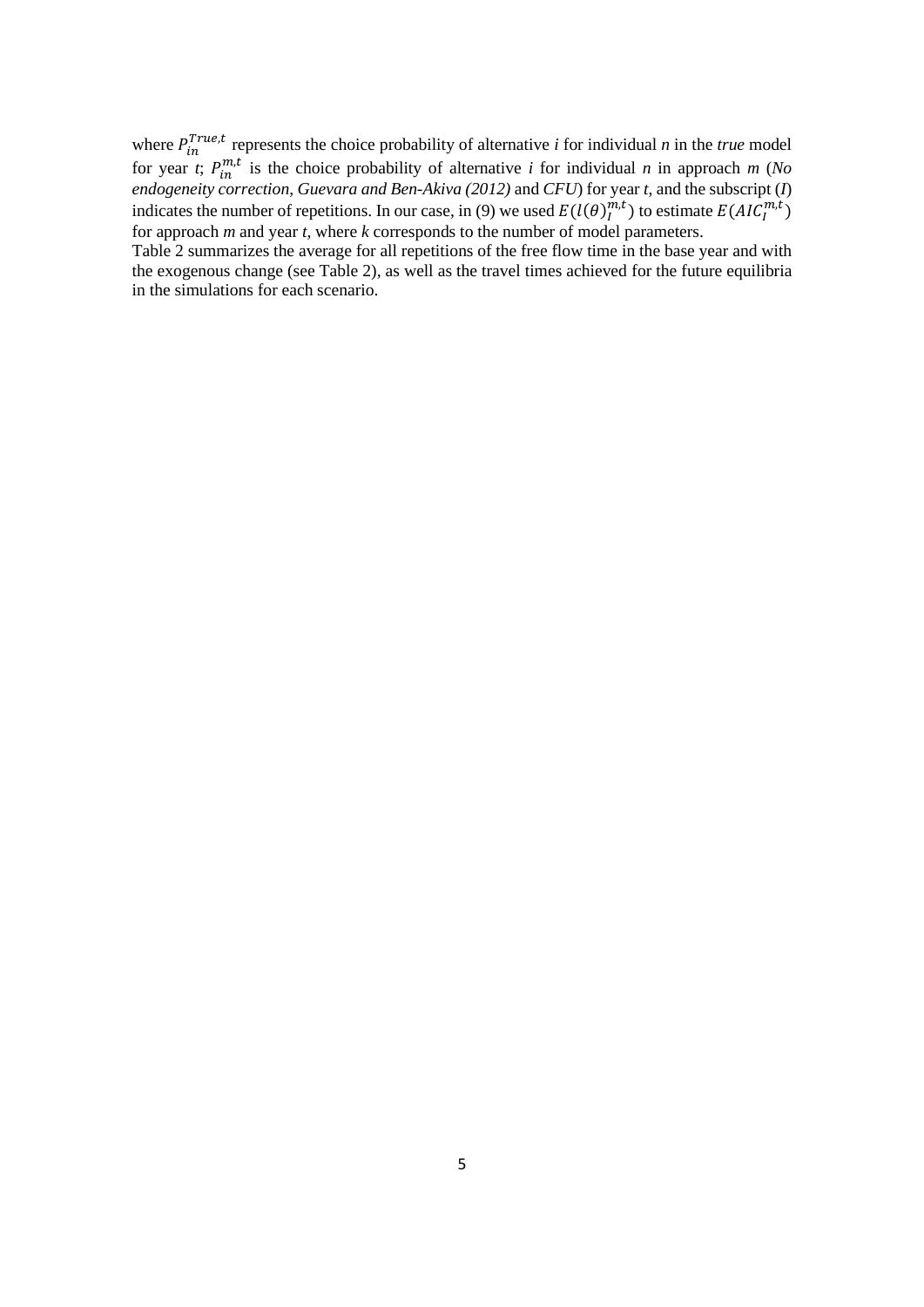where  $P_{in}^{True, t}$  represents the choice probability of alternative *i* for individual *n* in the *true* model for year *t*;  $P_{in}^{m,t}$  is the choice probability of alternative *i* for individual *n* in approach *m* (*No endogeneity correction*, *Guevara and Ben-Akiva (2012)* and *CFU*) for year *t*, and the subscript (*I*) indicates the number of repetitions. In our case, in (9) we used  $E(l(\theta)_{I}^{m,t})$  to estimate  $E(ALC_I^{m,t})$ for approach *m* and year *t*, where *k* corresponds to the number of model parameters.

Table 2 summarizes the average for all repetitions of the free flow time in the base year and with the exogenous change (see Table 2), as well as the travel times achieved for the future equilibria in the simulations for each scenario.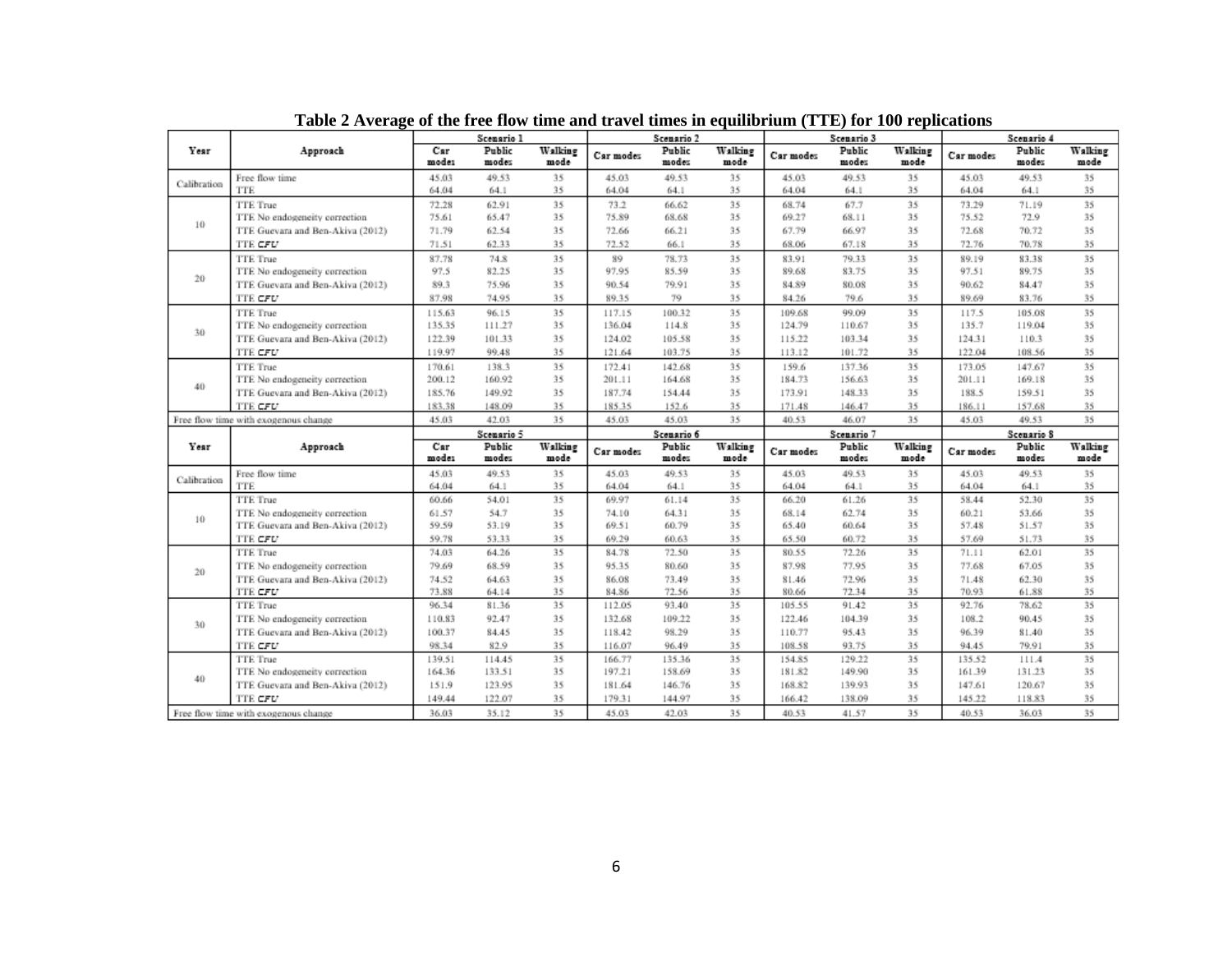|                                      |                                  | Scenario 1            |                 |                 | Scenario 2     |                 |                 |                | Scenario 3      |                 | Scenario 4     |                 |                 |  |
|--------------------------------------|----------------------------------|-----------------------|-----------------|-----------------|----------------|-----------------|-----------------|----------------|-----------------|-----------------|----------------|-----------------|-----------------|--|
| Year                                 | Approach                         | $C_{\rm SF}$<br>modes | Public<br>modes | Walking<br>mode | Car modes      | Public<br>modes | Walking<br>mode | Car modes      | Public<br>modes | Walking<br>mode | Car modes      | Public<br>modes | Walking<br>mode |  |
| Calibration                          | Free flow time                   | 45.03                 | 49.53           | 35              | 45.03          | 49.53           | 35              | 45.03          | 49.53           | 35              | 45.03          | 49.53           | 35              |  |
|                                      | <b>TTE</b>                       | 64.04                 | 64.1            | 35              | 64.04          | 64.1            | 35              | 64.04          | 64.1            | 35              | 64.04          | 64.1            | 35              |  |
| 10 <sup>°</sup>                      | TTE True                         | 72.28                 | 62.91           | 35              | 73.2           | 66.62           | 35              | 68.74          | 67.7            | 35              | 73.29          | 71.19           | 35              |  |
|                                      | TTE No endogeneity correction    | 75.61                 | 65.47           | 35              | 75.89          | 68.68           | 35              | 69.27          | 68.11           | 35              | 75.52          | 72.9            | 35              |  |
|                                      | TTE Guevara and Ben-Akiva (2012) | 71.79                 | 62.54           | 35              | 72.66          | 66.21           | 35              | 67.79          | 66.97           | 35              | 72.68          | 70.72           | 35              |  |
|                                      | TTE CFU                          | 71.51                 | 62.33           | 35              | 72.52          | 66.1            | 35              | 68.06          | 67.18           | 35              | 72.76          | 70.78           | 35              |  |
| $20 -$                               | TTE True                         | 87.78                 | 74.8            | 35              | 89             | 78.73           | 35              | 83.91          | 79.33           | 35              | 89.19          | 83.38           | 35              |  |
|                                      | TTE No endogeneity correction    | 97.5                  | 82.25           | 35              | 97.95          | 85.59           | 35              | 89.68          | 83.75           | 35              | 97.51          | 89.75           | 35              |  |
|                                      | TTE Guevara and Ben-Akiva (2012) | 89.3                  | 75.96           | 35              | 90.54          | 79.91           | 35              | 84.89          | 80.08           | 35              | 90.62          | 84.47           | 35              |  |
|                                      | TTE CFU                          | 87.98                 | 74.95           | 35              | 89.35          | 79              | 35              | 84.26          | 79.6            | 35              | 89.69          | 83.76           | 35              |  |
|                                      | <b>TTE True</b>                  | 115.63                | 96.15           | 35              | 117.15         | 100.32          | 35              | 109.68         | 99.09           | 35              | 117.5          | 105.08          | 35              |  |
| 30                                   | TTE No endogeneity correction    | 135.35                | 111.27          | 35              | 136.04         | 114.8           | 35              | 124.79         | 110.67          | 35              | 135.7          | 119.04          | 35              |  |
|                                      | TTE Guevara and Ben-Akiva (2012) | 122.39                | 101.33          | 35              | 124.02         | 105.58          | 35              | 115.22         | 103.34          | 35              | 124.31         | 110.3           | 35              |  |
|                                      | TTE CFU                          | 119.97                | 99.48           | 35              | 121.64         | 103.75          | 35              | 113.12         | 101.72          | 35              | 122.04         | 108.56          | 35              |  |
| 40                                   | <b>TTE True</b>                  | 170.61                | 138.3           | 35              | 172.41         | 142.68          | 35              | 159.6          | 137.36          | 35              | 173.05         | 147.67          | 35              |  |
|                                      | TTE No endogeneity correction    | 200.12                | 160.92          | 35              | 201.11         | 164.68          | 35              | 184.73         | 156.63          | 35              | 201.11         | 169.18          | 35              |  |
|                                      | TTE Guevara and Ben-Akiva (2012) | 185.76                | 149.92          | 35              | 187.74         | 154.44          | 35              | 173.91         | 148.33          | 35              | 188.5          | 159.51          | 35              |  |
|                                      | TTE CFU                          | 183.38                | 148.09          | 35              | 185.35         | 152.6           | 35              | 171.48         | 146.47          | 35              | 186.11         | 157.68          | 35              |  |
| Free flow time with exogenous change |                                  | 45.03                 | 42.03           | 35              | 45.03          | 45.03           | 35              | 40.53          | 46.07           | 35              | 45.03          | 49.53           | 35              |  |
|                                      |                                  |                       |                 |                 |                |                 |                 |                |                 |                 |                |                 |                 |  |
|                                      |                                  |                       | Scenario 5      |                 |                | Scenario 6      |                 |                | Scenario 7      |                 |                | Scenario 8      |                 |  |
| Year                                 | Approach                         | Car<br>modes          | Public<br>modes | Walking<br>mode | Car modes      | Public<br>modes | Walking<br>mode | Car modes      | Public<br>modes | Walking<br>mode | Car modes      | Public<br>modes | Walking<br>mode |  |
|                                      |                                  |                       |                 |                 |                |                 |                 |                |                 |                 |                |                 |                 |  |
| Calibration                          | Free flow time<br>TTE            | 45.03<br>64.04        | 49.53<br>64.1   | 35<br>35        | 45.03<br>64.04 | 49.53<br>64.1   | 35<br>35        | 45.03<br>64.04 | 49.53<br>64.1   | 35<br>35        | 45.03<br>64.04 | 49.53<br>64.1   | 35<br>35        |  |
|                                      | <b>TTE True</b>                  | 60.66                 | 54.01           | 35              | 69.97          | 61.14           | 35              | 66.20          | 61.26           | 35              | 58.44          | 52.30           | 35              |  |
|                                      | TTE No endogeneity correction    | 61.57                 | 54.7            | 35              | 74.10          | 64.31           | 35              | 68.14          | 62.74           | 35              | 60.21          | 53.66           | 35              |  |
| 10 <sup>°</sup>                      | TTE Guevara and Ben-Akiva (2012) | 59.59                 | 53.19           | 35              | 69.51          | 60.79           | 35              | 65.40          | 60.64           | 35              | 57.48          | 51.57           | 35              |  |
|                                      | TTE CFU                          | 59.78                 | 53.33           | 35              | 69.29          | 60.63           | 35              | 65.50          | 60.72           | 35              | 57.69          | 51.73           | 35              |  |
|                                      | <b>TTE True</b>                  | 74.03                 | 64.26           | 35              | 84.78          | 72.50           | 35              | 80.55          | 72.26           | 35              | 71.11          | 62.01           | 35              |  |
|                                      | TTE No endogeneity correction    | 79.69                 | 68.59           | 35              | 95.35          | 80.60           | 35              | 87.98          | 77.95           | 35              | 77.68          | 67.05           | 35              |  |
| 20                                   | TTE Guevara and Ben-Akiva (2012) | 74.52                 | 64.63           | 35              | 86.08          | 73.49           | 35              | 81.46          | 72.96           | 35              | 71.48          | 62.30           | 35              |  |
|                                      | TTE CFU                          | 73.88                 | 64.14           | 35              | 84.86          | 72.56           | 35              | 80.66          | 72.34           | 35              | 70.93          | 61.88           | 35              |  |
|                                      | <b>TTE True</b>                  | 96.34                 | 81.36           | 35              | 112.05         | 93.40           | 35              | 105.55         | 91.42           | 35              | 92.76          | 78.62           | 35              |  |
|                                      | TTE No endogeneity correction    | 110.83                | 92.47           | 35              | 132.68         | 109.22          | 35              | 122.46         | 104.39          | 35              | 108.2          | 90.45           | 35              |  |
| 30                                   | TTE Guevara and Ben-Akiva (2012) | 100.37                | 84.45           | 35              | 118.42         | 98.29           | 35              | 110.77         | 95.43           | 35              | 96.39          | 81.40           | 35              |  |
|                                      | TTE CFU                          | 98.34                 | 82.9            | 35              | 116.07         | 96.49           | 35              | 108.58         | 93.75           | 35              | 94.45          | 79.91           | 35              |  |
|                                      | <b>TTE True</b>                  | 139.51                | 114.45          | 35              | 166.77         | 135.36          | 35              | 154.85         | 129.22          | 35              | 135.52         | 111.4           | 35              |  |
|                                      | TTE No endogeneity correction    | 164.36                | 133.51          | 35              | 197.21         | 158.69          | 35              | 181.82         | 149.90          | 35              | 161.39         | 131.23          | 35              |  |
| 40                                   | TTE Guevara and Ben-Akiva (2012) | 151.9                 | 123.95          | 35              | 181.64         | 146.76          | 35              | 168.82         | 139.93          | 35              | 147.61         | 120.67          | 35              |  |
|                                      | TTE CFU                          | 149.44                | 122.07          | 35              | 179.31         | 144.97          | 35              | 166.42         | 138.09          | 35              | 145.22         | 118.83          | 35              |  |

**Table 2 Average of the free flow time and travel times in equilibrium (TTE) for 100 replications**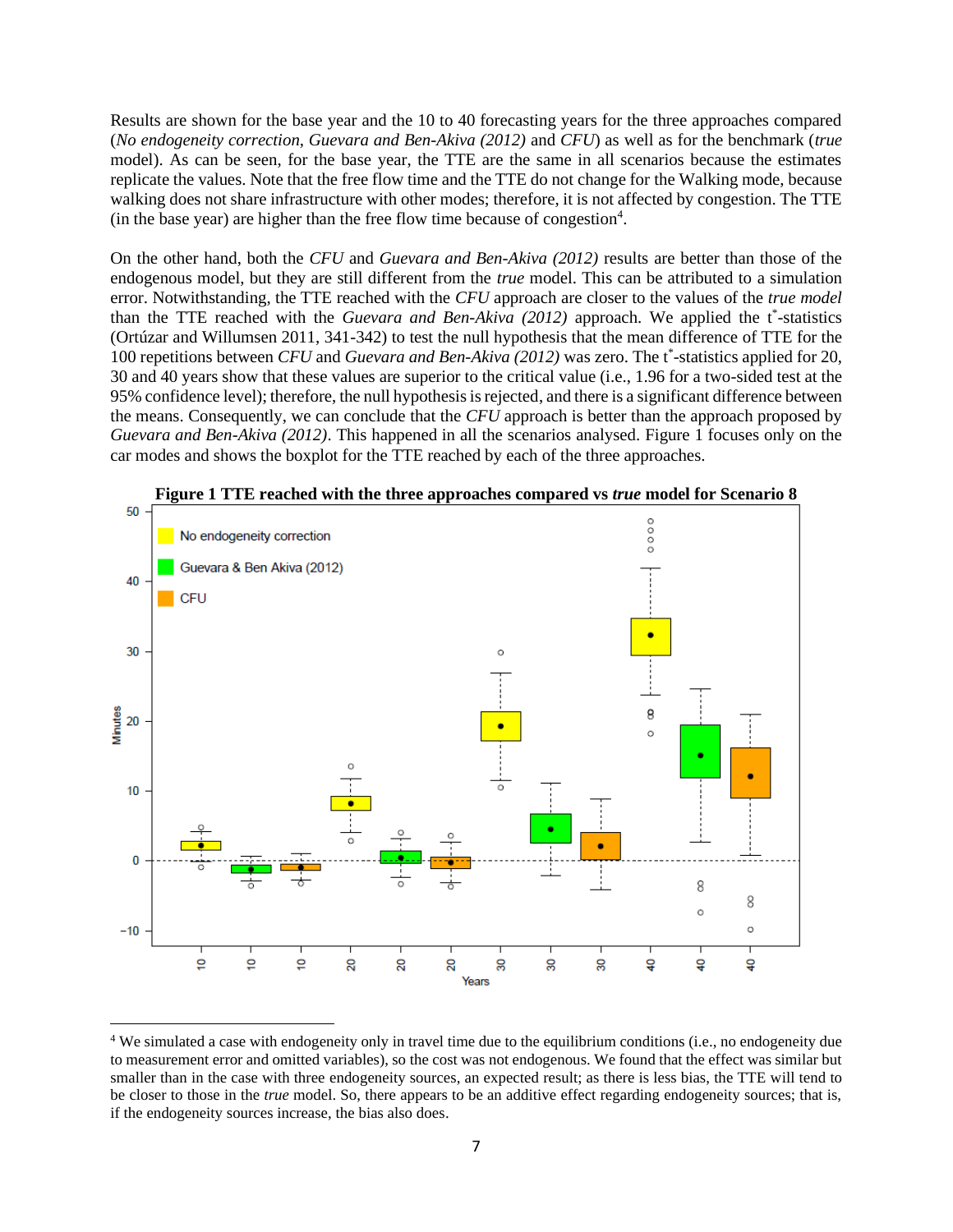Results are shown for the base year and the 10 to 40 forecasting years for the three approaches compared (*No endogeneity correction*, *Guevara and Ben-Akiva (2012)* and *CFU*) as well as for the benchmark (*true* model). As can be seen, for the base year, the TTE are the same in all scenarios because the estimates replicate the values. Note that the free flow time and the TTE do not change for the Walking mode, because walking does not share infrastructure with other modes; therefore, it is not affected by congestion. The TTE (in the base year) are higher than the free flow time because of congestion $4$ .

On the other hand, both the *CFU* and *Guevara and Ben-Akiva (2012)* results are better than those of the endogenous model, but they are still different from the *true* model. This can be attributed to a simulation error. Notwithstanding, the TTE reached with the *CFU* approach are closer to the values of the *true model* than the TTE reached with the *Guevara and Ben-Akiva (2012)* approach. We applied the t\* -statistics (Ortúzar and Willumsen 2011, 341-342) to test the null hypothesis that the mean difference of TTE for the 100 repetitions between *CFU* and *Guevara and Ben-Akiva (2012)* was zero. The t\* -statistics applied for 20, 30 and 40 years show that these values are superior to the critical value (i.e., 1.96 for a two-sided test at the 95% confidence level); therefore, the null hypothesis is rejected, and there is a significant difference between the means. Consequently, we can conclude that the *CFU* approach is better than the approach proposed by *Guevara and Ben-Akiva (2012)*. This happened in all the scenarios analysed. Figure 1 focuses only on the car modes and shows the boxplot for the TTE reached by each of the three approaches.



<sup>4</sup> We simulated a case with endogeneity only in travel time due to the equilibrium conditions (i.e., no endogeneity due to measurement error and omitted variables), so the cost was not endogenous. We found that the effect was similar but smaller than in the case with three endogeneity sources, an expected result; as there is less bias, the TTE will tend to be closer to those in the *true* model. So, there appears to be an additive effect regarding endogeneity sources; that is, if the endogeneity sources increase, the bias also does.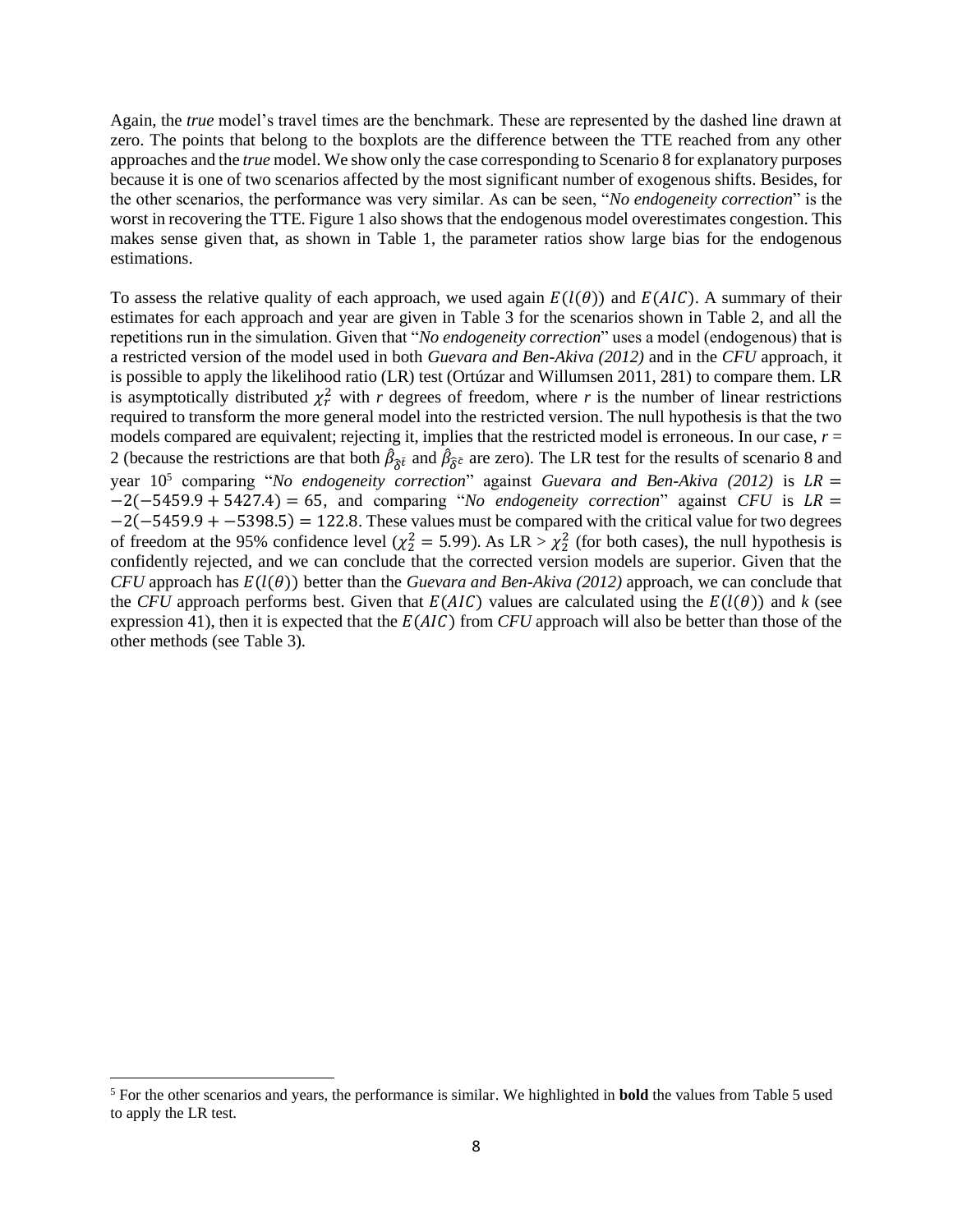Again, the *true* model's travel times are the benchmark. These are represented by the dashed line drawn at zero. The points that belong to the boxplots are the difference between the TTE reached from any other approaches and the *true* model. We show only the case corresponding to Scenario 8 for explanatory purposes because it is one of two scenarios affected by the most significant number of exogenous shifts. Besides, for the other scenarios, the performance was very similar. As can be seen, "*No endogeneity correction*" is the worst in recovering the TTE. Figure 1 also shows that the endogenous model overestimates congestion. This makes sense given that, as shown in Table 1, the parameter ratios show large bias for the endogenous estimations.

To assess the relative quality of each approach, we used again  $E(l(\theta))$  and  $E(AIC)$ . A summary of their estimates for each approach and year are given in Table 3 for the scenarios shown in Table 2, and all the repetitions run in the simulation. Given that "*No endogeneity correction*" uses a model (endogenous) that is a restricted version of the model used in both *Guevara and Ben-Akiva (2012)* and in the *CFU* approach, it is possible to apply the likelihood ratio (LR) test (Ortúzar and Willumsen 2011, 281) to compare them. LR is asymptotically distributed  $\chi^2_r$  with *r* degrees of freedom, where *r* is the number of linear restrictions required to transform the more general model into the restricted version. The null hypothesis is that the two models compared are equivalent; rejecting it, implies that the restricted model is erroneous. In our case,  $r =$ 2 (because the restrictions are that both  $\hat{\beta}_{\tilde{\delta}^t}$  and  $\hat{\beta}_{\tilde{\delta}^{\tilde{c}}}$  are zero). The LR test for the results of scenario 8 and year  $10^5$  comparing "*No endogeneity correction*" against *Guevara and Ben-Akiva (2012)* is  $LR =$  $-2(-5459.9 + 5427.4) = 65$ , and comparing "*No endogeneity correction*" against *CFU* is  $LR =$  $-2(-5459.9 + -5398.5) = 122.8$ . These values must be compared with the critical value for two degrees of freedom at the 95% confidence level ( $\chi^2$  = 5.99). As LR >  $\chi^2$  (for both cases), the null hypothesis is confidently rejected, and we can conclude that the corrected version models are superior. Given that the *CFU* approach has  $E(l(\theta))$  better than the *Guevara and Ben-Akiva* (2012) approach, we can conclude that the *CFU* approach performs best. Given that  $E(AIC)$  values are calculated using the  $E(l(\theta))$  and *k* (see expression 41), then it is expected that the  $E(AIC)$  from  $CFU$  approach will also be better than those of the other methods (see Table 3).

<sup>5</sup> For the other scenarios and years, the performance is similar. We highlighted in **bold** the values from Table 5 used to apply the LR test.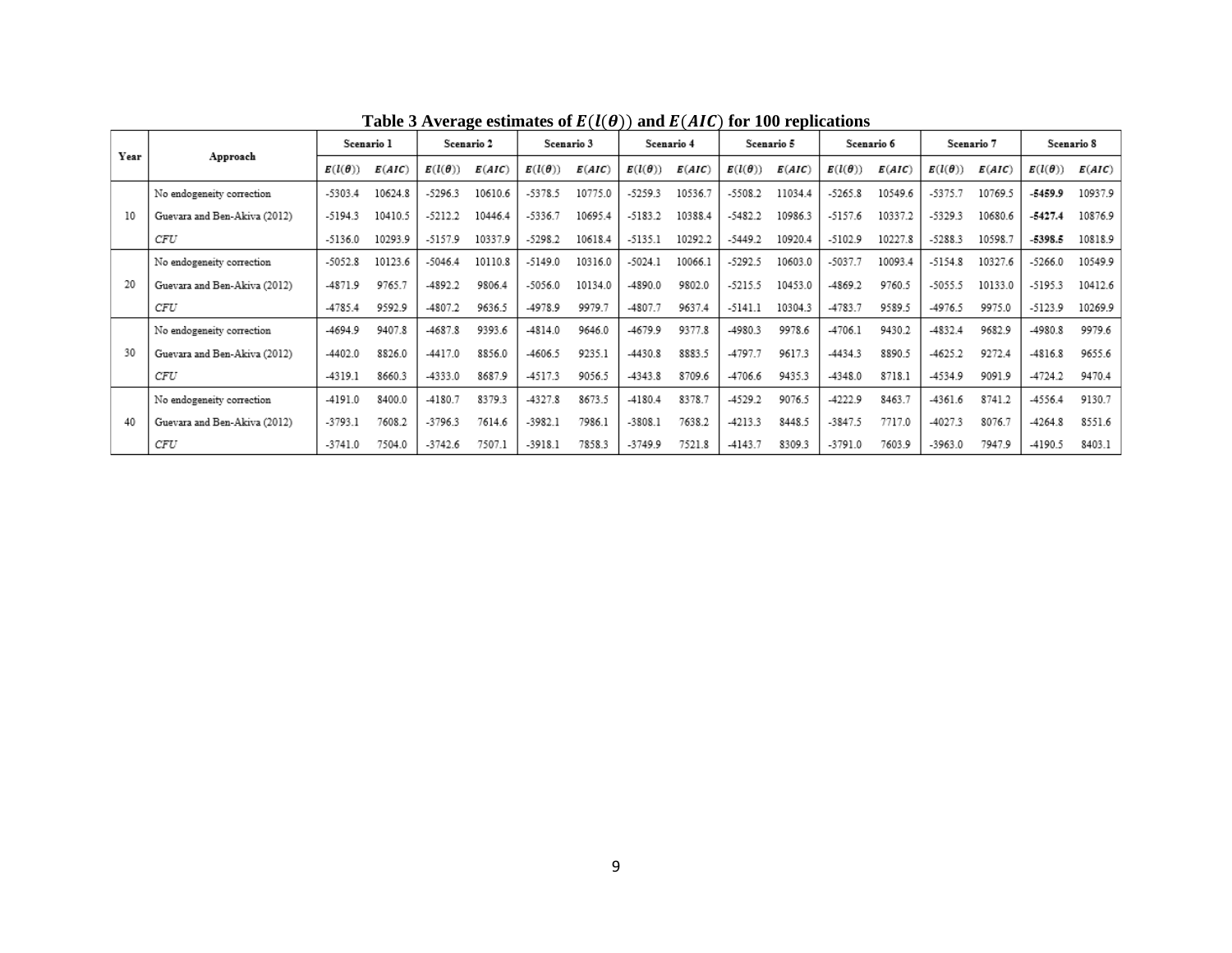| Year | Approach                     | Scenario 1     |         | Scenario 2     |         | Scenario 3     |         | Scenario 4     |         | Scenario 5     |         | Scenario 6     |         | Scenario 7     |         | Scenario 8     |         |
|------|------------------------------|----------------|---------|----------------|---------|----------------|---------|----------------|---------|----------------|---------|----------------|---------|----------------|---------|----------------|---------|
|      |                              | $E(l(\theta))$ | E( AIC) | $E(l(\theta))$ | E(ALC)  | $E(l(\theta))$ | E(ALC)  | $E(l(\theta))$ | E(ALC)  | $E(l(\theta))$ | E(ALC)  | $E(l(\theta))$ | E(ALC)  | $E(l(\theta))$ | E(ALC)  | $E(l(\theta))$ | E( AIC) |
| 10   | No endogeneity correction    | $-5303.4$      | 10624.8 | $-5296.3$      | 10610.6 | -5378.5        | 10775.0 | $-5259.3$      | 10536.7 | $-5508.2$      | 11034.4 | $-5265.8$      | 10549.6 | -5375.7        | 10769.5 | -5459.9        | 10937.9 |
|      | Guevara and Ben-Akiva (2012) | $-5194.3$      | 10410.5 | $-5212.2$      | 10446.4 | $-5336.7$      | 10695.4 | $-5183.2$      | 10388.4 | $-5482.2$      | 10986.3 | $-5157.6$      | 10337.2 | $-5329.3$      | 10680.6 | $-5427.4$      | 10876.9 |
|      | CFU                          | $-5136.0$      | 10293.9 | $-5157.9$      | 10337.9 | $-5298.2$      | 10618.4 | $-5135.1$      | 10292.2 | $-5449.2$      | 10920.4 | -5102.9        | 10227.8 | $-5288.3$      | 10598.7 | -5398.5        | 10818.9 |
| 20   | No endogeneity correction    | $-5052.8$      | 10123.6 | $-5046.4$      | 10110.8 | $-5149.0$      | 10316.0 | $-5024.1$      | 10066.1 | $-5292.5$      | 10603.0 | -5037.7        | 10093.4 | -5154.8        | 10327.6 | $-5266.0$      | 10549.9 |
|      | Guevara and Ben-Akiva (2012) | -4871.9        | 9765.7  | -4892.2        | 9806.4  | $-5056.0$      | 10134.0 | -4890.0        | 9802.0  | $-5215.5$      | 10453.0 | -4869.2        | 9760.5  | $-5055.5$      | 10133.0 | $-5195.3$      | 10412.6 |
|      | CFU                          | $-4785.4$      | 9592.9  | -4807.2        | 9636.5  | -4978.9        | 9979.7  | -4807.7        | 9637.4  | $-5141.1$      | 10304.3 | -4783.7        | 9589.5  | -4976.5        | 9975.0  | $-5123.9$      | 10269.9 |
| 30   | No endogeneity correction    | -4694.9        | 9407.8  | $-4687.8$      | 9393.6  | -4814.0        | 9646.0  | -4679.9        | 9377.8  | -4980.3        | 9978.6  | $-4706.1$      | 9430.2  | -4832.4        | 9682.9  | -4980.8        | 9979.6  |
|      | Guevara and Ben-Akiva (2012) | $-4402.0$      | 8826.0  | $-4417.0$      | 8856.0  | -4606.5        | 9235.1  | $-4430.8$      | 8883.5  | -4797.7        | 9617.3  | $-4434.3$      | 8890.5  | -4625.2        | 9272.4  | $-4816.8$      | 9655.6  |
|      | CFU                          | -4319.1        | 8660.3  | -4333.0        | 8687.9  | -4517.3        | 9056.5  | $-4343.8$      | 8709.6  | -4706.6        | 9435.3  | $-4348.0$      | 8718.1  | -4534.9        | 9091.9  | $-4724.2$      | 9470.4  |
| 40   | No endogeneity correction    | -4191.0        | 8400.0  | -4180.7        | 8379.3  | -4327.8        | 8673.5  | -4180.4        | 8378.7  | $-4529.2$      | 9076.5  | -4222.9        | 8463.7  | -4361.6        | 8741.2  | -4556.4        | 9130.7  |
|      | Guevara and Ben-Akiva (2012) | $-3793.1$      | 7608.2  | $-3796.3$      | 7614.6  | $-3982.1$      | 7986.1  | $-3808.1$      | 7638.2  | $-4213.3$      | 8448.5  | $-3847.5$      | 7717.0  | $-4027.3$      | 8076.7  | $-4264.8$      | 8551.6  |
|      | CFU                          | $-3741.0$      | 7504.0  | $-3742.6$      | 7507.1  | $-3918.1$      | 7858.3  | $-3749.9$      | 7521.8  | -4143.7        | 8309.3  | $-3791.0$      | 7603.9  | $-3963.0$      | 7947.9  | -4190.5        | 8403.1  |

Table 3 Average estimates of  $E(l(\theta))$  and  $E(ALC)$  for 100 replications